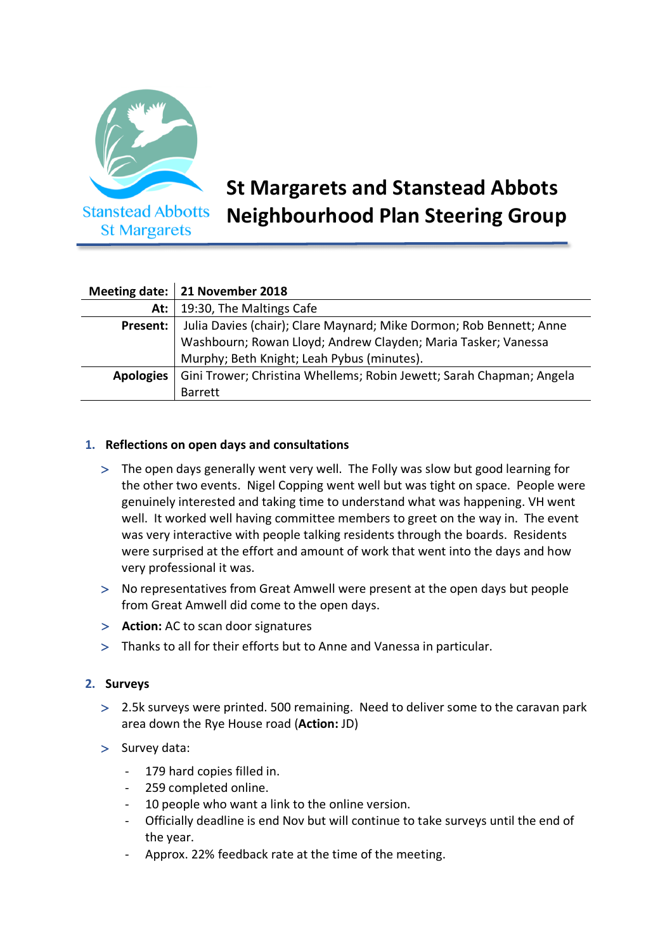

**St Margarets** 

# **St Margarets and Stanstead Abbots Neighbourhood Plan Steering Group**

|                  | Meeting date:   21 November 2018                                     |
|------------------|----------------------------------------------------------------------|
| At: $\vdash$     | 19:30, The Maltings Cafe                                             |
| Present:         | Julia Davies (chair); Clare Maynard; Mike Dormon; Rob Bennett; Anne  |
|                  | Washbourn; Rowan Lloyd; Andrew Clayden; Maria Tasker; Vanessa        |
|                  | Murphy; Beth Knight; Leah Pybus (minutes).                           |
| <b>Apologies</b> | Gini Trower; Christina Whellems; Robin Jewett; Sarah Chapman; Angela |
|                  | <b>Barrett</b>                                                       |

# **1. Reflections on open days and consultations**

- > The open days generally went very well. The Folly was slow but good learning for the other two events. Nigel Copping went well but was tight on space. People were genuinely interested and taking time to understand what was happening. VH went well. It worked well having committee members to greet on the way in. The event was very interactive with people talking residents through the boards. Residents were surprised at the effort and amount of work that went into the days and how very professional it was.
- > No representatives from Great Amwell were present at the open days but people from Great Amwell did come to the open days.
- > **Action:** AC to scan door signatures
- > Thanks to all for their efforts but to Anne and Vanessa in particular.

### **2. Surveys**

- > 2.5k surveys were printed. 500 remaining. Need to deliver some to the caravan park area down the Rye House road (**Action:** JD)
- > Survey data:
	- 179 hard copies filled in.
	- 259 completed online.
	- 10 people who want a link to the online version.
	- Officially deadline is end Nov but will continue to take surveys until the end of the year.
	- Approx. 22% feedback rate at the time of the meeting.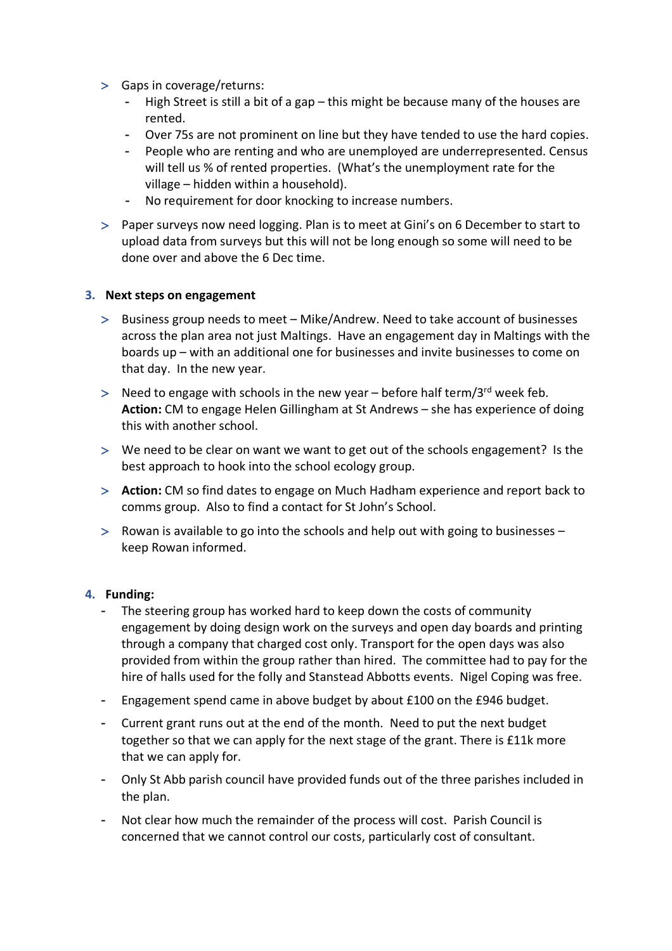- > Gaps in coverage/returns:
	- High Street is still a bit of a gap this might be because many of the houses are rented.
	- Over 75s are not prominent on line but they have tended to use the hard copies.
	- People who are renting and who are unemployed are underrepresented. Census will tell us % of rented properties. (What's the unemployment rate for the village – hidden within a household).
	- No requirement for door knocking to increase numbers.
- > Paper surveys now need logging. Plan is to meet at Gini's on 6 December to start to upload data from surveys but this will not be long enough so some will need to be done over and above the 6 Dec time.

# **3. Next steps on engagement**

- > Business group needs to meet Mike/Andrew. Need to take account of businesses across the plan area not just Maltings. Have an engagement day in Maltings with the boards up – with an additional one for businesses and invite businesses to come on that day. In the new year.
- $>$  Need to engage with schools in the new year before half term/3<sup>rd</sup> week feb. **Action:** CM to engage Helen Gillingham at St Andrews – she has experience of doing this with another school.
- > We need to be clear on want we want to get out of the schools engagement? Is the best approach to hook into the school ecology group.
- > **Action:** CM so find dates to engage on Much Hadham experience and report back to comms group. Also to find a contact for St John's School.
- > Rowan is available to go into the schools and help out with going to businesses keep Rowan informed.

### **4. Funding:**

- The steering group has worked hard to keep down the costs of community engagement by doing design work on the surveys and open day boards and printing through a company that charged cost only. Transport for the open days was also provided from within the group rather than hired. The committee had to pay for the hire of halls used for the folly and Stanstead Abbotts events. Nigel Coping was free.
- Engagement spend came in above budget by about £100 on the £946 budget.
- Current grant runs out at the end of the month. Need to put the next budget together so that we can apply for the next stage of the grant. There is £11k more that we can apply for.
- Only St Abb parish council have provided funds out of the three parishes included in the plan.
- Not clear how much the remainder of the process will cost. Parish Council is concerned that we cannot control our costs, particularly cost of consultant.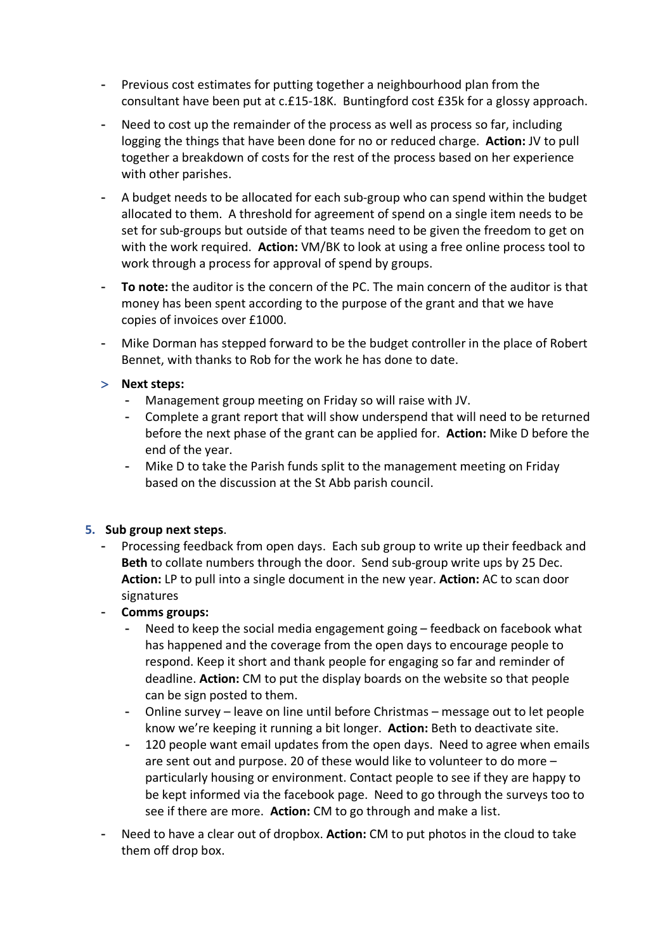- Previous cost estimates for putting together a neighbourhood plan from the consultant have been put at c.£15-18K. Buntingford cost £35k for a glossy approach.
- Need to cost up the remainder of the process as well as process so far, including logging the things that have been done for no or reduced charge. **Action:** JV to pull together a breakdown of costs for the rest of the process based on her experience with other parishes.
- A budget needs to be allocated for each sub-group who can spend within the budget allocated to them. A threshold for agreement of spend on a single item needs to be set for sub-groups but outside of that teams need to be given the freedom to get on with the work required. **Action:** VM/BK to look at using a free online process tool to work through a process for approval of spend by groups.
- **To note:** the auditor is the concern of the PC. The main concern of the auditor is that money has been spent according to the purpose of the grant and that we have copies of invoices over £1000.
- Mike Dorman has stepped forward to be the budget controller in the place of Robert Bennet, with thanks to Rob for the work he has done to date.
- > **Next steps:** 
	- Management group meeting on Friday so will raise with JV.
	- Complete a grant report that will show underspend that will need to be returned before the next phase of the grant can be applied for. **Action:** Mike D before the end of the year.
	- Mike D to take the Parish funds split to the management meeting on Friday based on the discussion at the St Abb parish council.

### **5. Sub group next steps**.

- Processing feedback from open days. Each sub group to write up their feedback and **Beth** to collate numbers through the door. Send sub-group write ups by 25 Dec. **Action:** LP to pull into a single document in the new year. **Action:** AC to scan door signatures
- **Comms groups:** 
	- Need to keep the social media engagement going feedback on facebook what has happened and the coverage from the open days to encourage people to respond. Keep it short and thank people for engaging so far and reminder of deadline. **Action:** CM to put the display boards on the website so that people can be sign posted to them.
	- Online survey leave on line until before Christmas message out to let people know we're keeping it running a bit longer. **Action:** Beth to deactivate site.
	- 120 people want email updates from the open days. Need to agree when emails are sent out and purpose. 20 of these would like to volunteer to do more – particularly housing or environment. Contact people to see if they are happy to be kept informed via the facebook page. Need to go through the surveys too to see if there are more. **Action:** CM to go through and make a list.
- Need to have a clear out of dropbox. **Action:** CM to put photos in the cloud to take them off drop box.